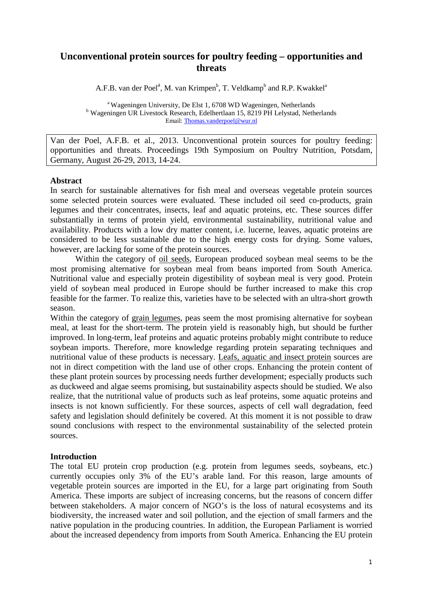# **Unconventional protein sources for poultry feeding – opportunities and threats**

A.F.B. van der Poel<sup>a</sup>, M. van Krimpen<sup>b</sup>, T. Veldkamp<sup>b</sup> and R.P. Kwakkel<sup>a</sup>

<sup>a</sup> Wageningen University, De Elst 1, 6708 WD Wageningen, Netherlands b Wageningen UR Livestock Research, Edelhertlaan 15, 8219 PH Lelystad, Netherlands Email: [Thomas.vanderpoel@wur.nl](mailto:Thomas.vanderpoel@wur.nl)

Van der Poel, A.F.B. et al., 2013. Unconventional protein sources for poultry feeding: opportunities and threats. Proceedings 19th Symposium on Poultry Nutrition, Potsdam, Germany, August 26-29, 2013, 14-24.

## **Abstract**

In search for sustainable alternatives for fish meal and overseas vegetable protein sources some selected protein sources were evaluated. These included oil seed co-products, grain legumes and their concentrates, insects, leaf and aquatic proteins, etc. These sources differ substantially in terms of protein yield, environmental sustainability, nutritional value and availability. Products with a low dry matter content, i.e. lucerne, leaves, aquatic proteins are considered to be less sustainable due to the high energy costs for drying. Some values, however, are lacking for some of the protein sources.

Within the category of oil seeds, European produced soybean meal seems to be the most promising alternative for soybean meal from beans imported from South America. Nutritional value and especially protein digestibility of soybean meal is very good. Protein yield of soybean meal produced in Europe should be further increased to make this crop feasible for the farmer. To realize this, varieties have to be selected with an ultra-short growth season.

Within the category of grain legumes, peas seem the most promising alternative for soybean meal, at least for the short-term. The protein yield is reasonably high, but should be further improved. In long-term, leaf proteins and aquatic proteins probably might contribute to reduce soybean imports. Therefore, more knowledge regarding protein separating techniques and nutritional value of these products is necessary. Leafs, aquatic and insect protein sources are not in direct competition with the land use of other crops. Enhancing the protein content of these plant protein sources by processing needs further development; especially products such as duckweed and algae seems promising, but sustainability aspects should be studied. We also realize, that the nutritional value of products such as leaf proteins, some aquatic proteins and insects is not known sufficiently. For these sources, aspects of cell wall degradation, feed safety and legislation should definitely be covered. At this moment it is not possible to draw sound conclusions with respect to the environmental sustainability of the selected protein sources.

## **Introduction**

The total EU protein crop production (e.g. protein from legumes seeds, soybeans, etc.) currently occupies only 3% of the EU's arable land. For this reason, large amounts of vegetable protein sources are imported in the EU, for a large part originating from South America. These imports are subject of increasing concerns, but the reasons of concern differ between stakeholders. A major concern of NGO's is the loss of natural ecosystems and its biodiversity, the increased water and soil pollution, and the ejection of small farmers and the native population in the producing countries. In addition, the European Parliament is worried about the increased dependency from imports from South America. Enhancing the EU protein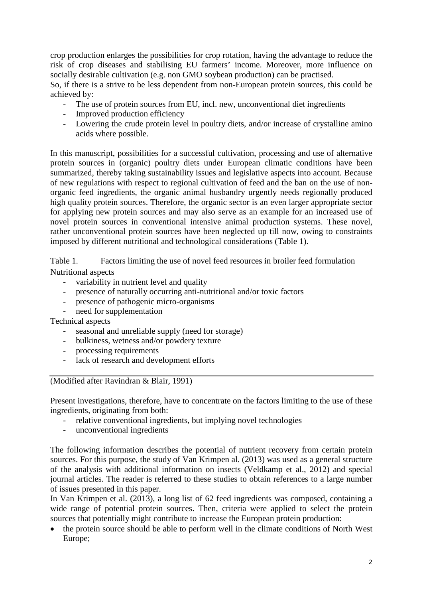crop production enlarges the possibilities for crop rotation, having the advantage to reduce the risk of crop diseases and stabilising EU farmers' income. Moreover, more influence on socially desirable cultivation (e.g. non GMO soybean production) can be practised.

So, if there is a strive to be less dependent from non-European protein sources, this could be achieved by:

- The use of protein sources from EU, incl. new, unconventional diet ingredients
- Improved production efficiency
- Lowering the crude protein level in poultry diets, and/or increase of crystalline amino acids where possible.

In this manuscript, possibilities for a successful cultivation, processing and use of alternative protein sources in (organic) poultry diets under European climatic conditions have been summarized, thereby taking sustainability issues and legislative aspects into account. Because of new regulations with respect to regional cultivation of feed and the ban on the use of nonorganic feed ingredients, the organic animal husbandry urgently needs regionally produced high quality protein sources. Therefore, the organic sector is an even larger appropriate sector for applying new protein sources and may also serve as an example for an increased use of novel protein sources in conventional intensive animal production systems. These novel, rather unconventional protein sources have been neglected up till now, owing to constraints imposed by different nutritional and technological considerations (Table 1).

Table 1. Factors limiting the use of novel feed resources in broiler feed formulation Nutritional aspects

- variability in nutrient level and quality
- presence of naturally occurring anti-nutritional and/or toxic factors
- presence of pathogenic micro-organisms
- need for supplementation

Technical aspects

- seasonal and unreliable supply (need for storage)
- bulkiness, wetness and/or powdery texture
- processing requirements
- lack of research and development efforts

(Modified after Ravindran & Blair, 1991)

Present investigations, therefore, have to concentrate on the factors limiting to the use of these ingredients, originating from both:

- relative conventional ingredients, but implying novel technologies
- unconventional ingredients

The following information describes the potential of nutrient recovery from certain protein sources. For this purpose, the study of Van Krimpen al. (2013) was used as a general structure of the analysis with additional information on insects (Veldkamp et al., 2012) and special journal articles. The reader is referred to these studies to obtain references to a large number of issues presented in this paper.

In Van Krimpen et al. (2013), a long list of 62 feed ingredients was composed, containing a wide range of potential protein sources. Then, criteria were applied to select the protein sources that potentially might contribute to increase the European protein production:

• the protein source should be able to perform well in the climate conditions of North West Europe;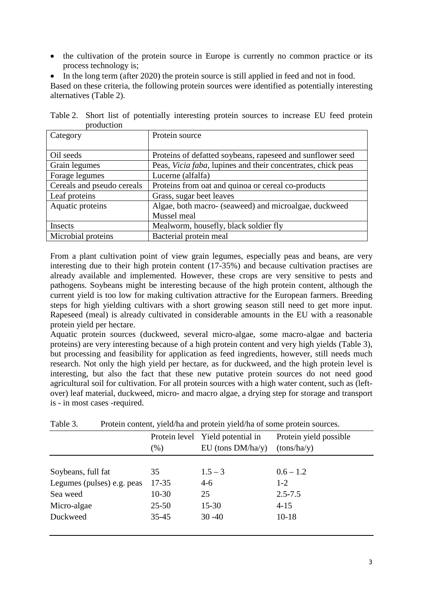- the cultivation of the protein source in Europe is currently no common practice or its process technology is;
- In the long term (after 2020) the protein source is still applied in feed and not in food.

Based on these criteria, the following protein sources were identified as potentially interesting alternatives (Table 2).

| production                 |                                                                      |
|----------------------------|----------------------------------------------------------------------|
| Category                   | Protein source                                                       |
|                            |                                                                      |
| Oil seeds                  | Proteins of defatted soybeans, rapeseed and sunflower seed           |
| Grain legumes              | Peas, <i>Vicia faba</i> , lupines and their concentrates, chick peas |
| Forage legumes             | Lucerne (alfalfa)                                                    |
| Cereals and pseudo cereals | Proteins from oat and quinoa or cereal co-products                   |
| Leaf proteins              | Grass, sugar beet leaves                                             |
| Aquatic proteins           | Algae, both macro- (seaweed) and microalgae, duckweed                |
|                            | Mussel meal                                                          |
| Insects                    | Mealworm, housefly, black soldier fly                                |
| Microbial proteins         | Bacterial protein meal                                               |

Table 2. Short list of potentially interesting protein sources to increase EU feed protein  $p = p$  is a set of  $p = p$ 

From a plant cultivation point of view grain legumes, especially peas and beans, are very interesting due to their high protein content (17-35%) and because cultivation practises are already available and implemented. However, these crops are very sensitive to pests and pathogens. Soybeans might be interesting because of the high protein content, although the current yield is too low for making cultivation attractive for the European farmers. Breeding steps for high yielding cultivars with a short growing season still need to get more input. Rapeseed (meal) is already cultivated in considerable amounts in the EU with a reasonable protein yield per hectare.

Aquatic protein sources (duckweed, several micro-algae, some macro-algae and bacteria proteins) are very interesting because of a high protein content and very high yields (Table 3), but processing and feasibility for application as feed ingredients, however, still needs much research. Not only the high yield per hectare, as for duckweed, and the high protein level is interesting, but also the fact that these new putative protein sources do not need good agricultural soil for cultivation. For all protein sources with a high water content, such as (leftover) leaf material, duckweed, micro- and macro algae, a drying step for storage and transport is - in most cases -required.

|                            |           | Protein level Yield potential in | Protein yield possible |
|----------------------------|-----------|----------------------------------|------------------------|
|                            | (%)       | $EU$ (tons $DM/ha/y$ )           | (tons/ha/y)            |
|                            |           |                                  |                        |
| Soybeans, full fat         | 35        | $1.5 - 3$                        | $0.6 - 1.2$            |
| Legumes (pulses) e.g. peas | $17 - 35$ | $4-6$                            | $1 - 2$                |
| Sea weed                   | $10-30$   | 25                               | $2.5 - 7.5$            |
| Micro-algae                | $25 - 50$ | $15 - 30$                        | $4 - 15$               |
| Duckweed                   | $35 - 45$ | $30 - 40$                        | $10-18$                |

Table 3. Protein content, yield/ha and protein yield/ha of some protein sources.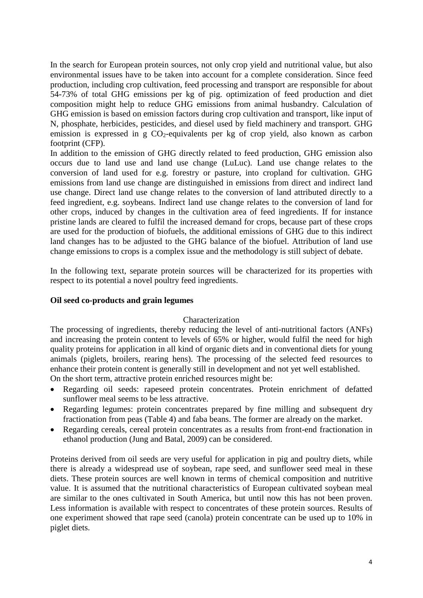In the search for European protein sources, not only crop yield and nutritional value, but also environmental issues have to be taken into account for a complete consideration. Since feed production, including crop cultivation, feed processing and transport are responsible for about 54-73% of total GHG emissions per kg of pig. optimization of feed production and diet composition might help to reduce GHG emissions from animal husbandry. Calculation of GHG emission is based on emission factors during crop cultivation and transport, like input of N, phosphate, herbicides, pesticides, and diesel used by field machinery and transport. GHG emission is expressed in g  $CO_2$ -equivalents per kg of crop yield, also known as carbon footprint (CFP).

In addition to the emission of GHG directly related to feed production, GHG emission also occurs due to land use and land use change (LuLuc). Land use change relates to the conversion of land used for e.g. forestry or pasture, into cropland for cultivation. GHG emissions from land use change are distinguished in emissions from direct and indirect land use change. Direct land use change relates to the conversion of land attributed directly to a feed ingredient, e.g. soybeans. Indirect land use change relates to the conversion of land for other crops, induced by changes in the cultivation area of feed ingredients. If for instance pristine lands are cleared to fulfil the increased demand for crops, because part of these crops are used for the production of biofuels, the additional emissions of GHG due to this indirect land changes has to be adjusted to the GHG balance of the biofuel. Attribution of land use change emissions to crops is a complex issue and the methodology is still subject of debate.

In the following text, separate protein sources will be characterized for its properties with respect to its potential a novel poultry feed ingredients.

### **Oil seed co-products and grain legumes**

#### Characterization

The processing of ingredients, thereby reducing the level of anti-nutritional factors (ANFs) and increasing the protein content to levels of 65% or higher, would fulfil the need for high quality proteins for application in all kind of organic diets and in conventional diets for young animals (piglets, broilers, rearing hens). The processing of the selected feed resources to enhance their protein content is generally still in development and not yet well established. On the short term, attractive protein enriched resources might be:

- Regarding oil seeds: rapeseed protein concentrates. Protein enrichment of defatted sunflower meal seems to be less attractive.
- Regarding legumes: protein concentrates prepared by fine milling and subsequent dry fractionation from peas (Table 4) and faba beans. The former are already on the market.
- Regarding cereals, cereal protein concentrates as a results from front-end fractionation in ethanol production (Jung and Batal, 2009) can be considered.

Proteins derived from oil seeds are very useful for application in pig and poultry diets, while there is already a widespread use of soybean, rape seed, and sunflower seed meal in these diets. These protein sources are well known in terms of chemical composition and nutritive value. It is assumed that the nutritional characteristics of European cultivated soybean meal are similar to the ones cultivated in South America, but until now this has not been proven. Less information is available with respect to concentrates of these protein sources. Results of one experiment showed that rape seed (canola) protein concentrate can be used up to 10% in piglet diets.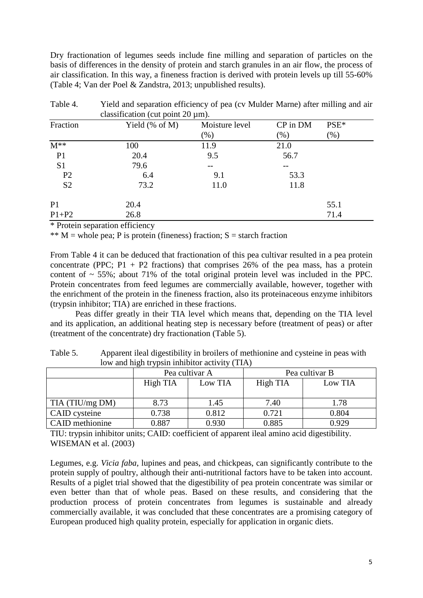Dry fractionation of legumes seeds include fine milling and separation of particles on the basis of differences in the density of protein and starch granules in an air flow, the process of air classification. In this way, a fineness fraction is derived with protein levels up till 55-60% (Table 4; Van der Poel & Zandstra, 2013; unpublished results).

|                | $\alpha$ crassification (cat point $\alpha$ and $\beta$ ). |                |          |      |
|----------------|------------------------------------------------------------|----------------|----------|------|
| Fraction       | Yield $(\%$ of M)                                          | Moisture level | CP in DM | PSE* |
|                |                                                            | (% )           | $(\%)$   | (% ) |
| $M^{**}$       | 100                                                        | 11.9           | 21.0     |      |
| P <sub>1</sub> | 20.4                                                       | 9.5            | 56.7     |      |
| S <sub>1</sub> | 79.6                                                       |                | --       |      |
| P <sub>2</sub> | 6.4                                                        | 9.1            | 53.3     |      |
| S <sub>2</sub> | 73.2                                                       | 11.0           | 11.8     |      |
| P <sub>1</sub> | 20.4                                                       |                |          | 55.1 |
| $P1+P2$        | 26.8                                                       |                |          | 71.4 |

Table 4. Yield and separation efficiency of pea (cv Mulder Marne) after milling and air classification (cut point  $20 \text{ µm}$ ).

\* Protein separation efficiency

\*\*  $M =$  whole pea; P is protein (fineness) fraction; S = starch fraction

From Table 4 it can be deduced that fractionation of this pea cultivar resulted in a pea protein concentrate (PPC;  $P1 + P2$  fractions) that comprises 26% of the pea mass, has a protein content of  $\sim$  55%; about 71% of the total original protein level was included in the PPC. Protein concentrates from feed legumes are commercially available, however, together with the enrichment of the protein in the fineness fraction, also its proteinaceous enzyme inhibitors (trypsin inhibitor; TIA) are enriched in these fractions.

Peas differ greatly in their TIA level which means that, depending on the TIA level and its application, an additional heating step is necessary before (treatment of peas) or after (treatment of the concentrate) dry fractionation (Table 5).

|                 | $\sigma$ $\Gamma$ |                |                |         |  |  |  |  |  |
|-----------------|-------------------|----------------|----------------|---------|--|--|--|--|--|
|                 |                   | Pea cultivar A | Pea cultivar B |         |  |  |  |  |  |
|                 | High TIA          | Low TIA        | High TIA       | Low TIA |  |  |  |  |  |
| TIA (TIU/mg DM) | 8.73              | 1.45           | 7.40           | 1.78    |  |  |  |  |  |
| CAID cysteine   | 0.738             | 0.812          | 0.721          | 0.804   |  |  |  |  |  |
| CAID methionine | 0.887             | 0.930          | 0.885          | 0.929   |  |  |  |  |  |

Table 5. Apparent ileal digestibility in broilers of methionine and cysteine in peas with low and high trypsin inhibitor activity (TIA)

TIU: trypsin inhibitor units; CAID: coefficient of apparent ileal amino acid digestibility. WISEMAN et al. (2003)

Legumes, e.g. *Vicia faba*, lupines and peas, and chickpeas, can significantly contribute to the protein supply of poultry, although their anti-nutritional factors have to be taken into account. Results of a piglet trial showed that the digestibility of pea protein concentrate was similar or even better than that of whole peas. Based on these results, and considering that the production process of protein concentrates from legumes is sustainable and already commercially available, it was concluded that these concentrates are a promising category of European produced high quality protein, especially for application in organic diets.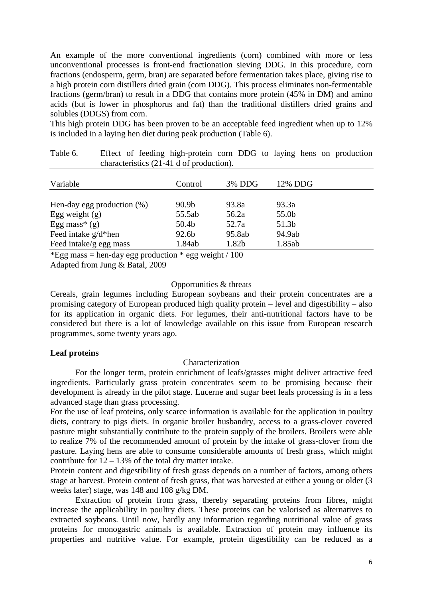An example of the more conventional ingredients (corn) combined with more or less unconventional processes is front-end fractionation sieving DDG. In this procedure, corn fractions (endosperm, germ, bran) are separated before fermentation takes place, giving rise to a high protein corn distillers dried grain (corn DDG). This process eliminates non-fermentable fractions (germ/bran) to result in a DDG that contains more protein (45% in DM) and amino acids (but is lower in phosphorus and fat) than the traditional distillers dried grains and solubles (DDGS) from corn.

This high protein DDG has been proven to be an acceptable feed ingredient when up to 12% is included in a laying hen diet during peak production (Table 6).

| Variable                      | Control           | 3% DDG | 12% DDG |  |
|-------------------------------|-------------------|--------|---------|--|
| Hen-day egg production $(\%)$ | 90.9 <sub>b</sub> | 93.8a  | 93.3a   |  |
| Egg weight $(g)$              | 55.5ab            | 56.2a  | 55.0b   |  |
| Egg mass* $(g)$               | 50.4b             | 52.7a  | 51.3b   |  |
| Feed intake $g/d*hen$         | 92.6b             | 95.8ab | 94.9ab  |  |
| Feed intake/g egg mass        | 1.84ab            | 1.82b  | 1.85ab  |  |

| Table 6. |  | Effect of feeding high-protein corn DDG to laying hens on production |  |  |  |  |
|----------|--|----------------------------------------------------------------------|--|--|--|--|
|          |  | characteristics (21-41 d of production).                             |  |  |  |  |

\*Egg mass = hen-day egg production  $*$  egg weight / 100

Adapted from Jung & Batal, 2009

### Opportunities & threats

Cereals, grain legumes including European soybeans and their protein concentrates are a promising category of European produced high quality protein – level and digestibility – also for its application in organic diets. For legumes, their anti-nutritional factors have to be considered but there is a lot of knowledge available on this issue from European research programmes, some twenty years ago.

#### **Leaf proteins**

#### Characterization

For the longer term, protein enrichment of leafs/grasses might deliver attractive feed ingredients. Particularly grass protein concentrates seem to be promising because their development is already in the pilot stage. Lucerne and sugar beet leafs processing is in a less advanced stage than grass processing.

For the use of leaf proteins, only scarce information is available for the application in poultry diets, contrary to pigs diets. In organic broiler husbandry, access to a grass-clover covered pasture might substantially contribute to the protein supply of the broilers. Broilers were able to realize 7% of the recommended amount of protein by the intake of grass-clover from the pasture. Laying hens are able to consume considerable amounts of fresh grass, which might contribute for  $12 - 13%$  of the total dry matter intake.

Protein content and digestibility of fresh grass depends on a number of factors, among others stage at harvest. Protein content of fresh grass, that was harvested at either a young or older (3 weeks later) stage, was 148 and 108 g/kg DM.

Extraction of protein from grass, thereby separating proteins from fibres, might increase the applicability in poultry diets. These proteins can be valorised as alternatives to extracted soybeans. Until now, hardly any information regarding nutritional value of grass proteins for monogastric animals is available. Extraction of protein may influence its properties and nutritive value. For example, protein digestibility can be reduced as a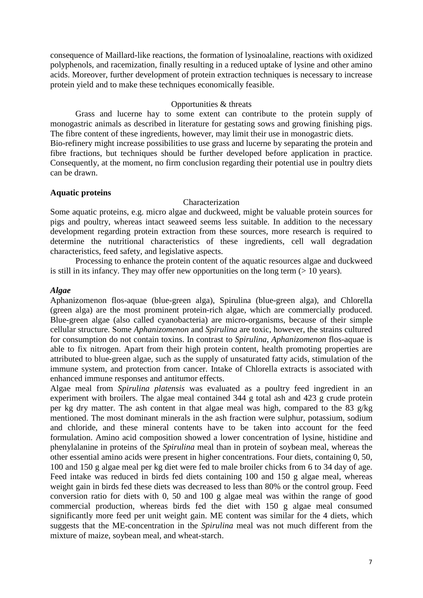consequence of Maillard-like reactions, the formation of lysinoalaline, reactions with oxidized polyphenols, and racemization, finally resulting in a reduced uptake of lysine and other amino acids. Moreover, further development of protein extraction techniques is necessary to increase protein yield and to make these techniques economically feasible.

#### Opportunities & threats

Grass and lucerne hay to some extent can contribute to the protein supply of monogastric animals as described in literature for gestating sows and growing finishing pigs. The fibre content of these ingredients, however, may limit their use in monogastric diets. Bio-refinery might increase possibilities to use grass and lucerne by separating the protein and fibre fractions, but techniques should be further developed before application in practice. Consequently, at the moment, no firm conclusion regarding their potential use in poultry diets can be drawn.

#### **Aquatic proteins**

#### Characterization

Some aquatic proteins, e.g. micro algae and duckweed, might be valuable protein sources for pigs and poultry, whereas intact seaweed seems less suitable. In addition to the necessary development regarding protein extraction from these sources, more research is required to determine the nutritional characteristics of these ingredients, cell wall degradation characteristics, feed safety, and legislative aspects.

Processing to enhance the protein content of the aquatic resources algae and duckweed is still in its infancy. They may offer new opportunities on the long term  $(>10$  years).

#### *Algae*

Aphanizomenon flos-aquae (blue-green alga), Spirulina (blue-green alga), and Chlorella (green alga) are the most prominent protein-rich algae, which are commercially produced. Blue-green algae (also called cyanobacteria) are micro-organisms, because of their simple cellular structure. Some *Aphanizomenon* and *Spirulina* are toxic, however, the strains cultured for consumption do not contain toxins. In contrast to *Spirulina, Aphanizomenon* flos-aquae is able to fix nitrogen. Apart from their high protein content, health promoting properties are attributed to blue-green algae, such as the supply of unsaturated fatty acids, stimulation of the immune system, and protection from cancer. Intake of Chlorella extracts is associated with enhanced immune responses and antitumor effects.

Algae meal from *Spirulina platensis* was evaluated as a poultry feed ingredient in an experiment with broilers. The algae meal contained 344 g total ash and 423 g crude protein per kg dry matter. The ash content in that algae meal was high, compared to the 83 g/kg mentioned. The most dominant minerals in the ash fraction were sulphur, potassium, sodium and chloride, and these mineral contents have to be taken into account for the feed formulation. Amino acid composition showed a lower concentration of lysine, histidine and phenylalanine in proteins of the *Spirulina* meal than in protein of soybean meal, whereas the other essential amino acids were present in higher concentrations. Four diets, containing 0, 50, 100 and 150 g algae meal per kg diet were fed to male broiler chicks from 6 to 34 day of age. Feed intake was reduced in birds fed diets containing 100 and 150 g algae meal, whereas weight gain in birds fed these diets was decreased to less than 80% or the control group. Feed conversion ratio for diets with 0, 50 and 100 g algae meal was within the range of good commercial production, whereas birds fed the diet with 150 g algae meal consumed significantly more feed per unit weight gain. ME content was similar for the 4 diets, which suggests that the ME-concentration in the *Spirulina* meal was not much different from the mixture of maize, soybean meal, and wheat-starch.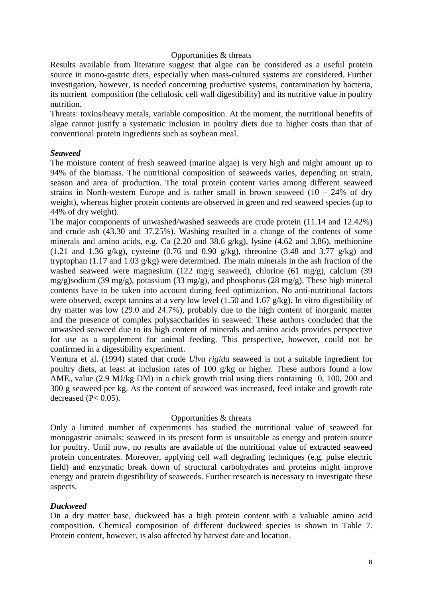#### Opportunities & threats

Results available from literature suggest that algae can be considered as a useful protein source in mono-gastric diets, especially when mass-cultured systems are considered. Further investigation, however, is needed concerning productive systems, contamination by bacteria, its nutrient composition (the cellulosic cell wall digestibility) and its nutritive value in poultry nutrition.

Threats: toxins/heavy metals, variable composition. At the moment, the nutritional benefits of algae cannot justify a systematic inclusion in poultry diets due to higher costs than that of conventional protein ingredients such as soybean meal.

#### *Seaweed*

The moisture content of fresh seaweed (marine algae) is very high and might amount up to 94% of the biomass. The nutritional composition of seaweeds varies, depending on strain, season and area of production. The total protein content varies among different seaweed strains in North-western Europe and is rather small in brown seaweed  $(10 - 24\%$  of dry weight), whereas higher protein contents are observed in green and red seaweed species (up to 44% of dry weight).

The major components of unwashed/washed seaweeds are crude protein (11.14 and 12.42%) and crude ash (43.30 and 37.25%). Washing resulted in a change of the contents of some minerals and amino acids, e.g. Ca (2.20 and 38.6 g/kg), lysine (4.62 and 3.86), methionine  $(1.21 \text{ and } 1.36 \text{ g/kg})$ , cysteine  $(0.76 \text{ and } 0.90 \text{ g/kg})$ , threonine  $(3.48 \text{ and } 3.77 \text{ g/kg})$  and tryptophan (1.17 and 1.03 g/kg) were determined. The main minerals in the ash fraction of the washed seaweed were magnesium (122 mg/g seaweed), chlorine (61 mg/g), calcium (39 mg/g)sodium (39 mg/g), potassium (33 mg/g), and phosphorus (28 mg/g). These high mineral contents have to be taken into account during feed optimization. No anti-nutritional factors were observed, except tannins at a very low level (1.50 and 1.67 g/kg). In vitro digestibility of dry matter was low (29.0 and 24.7%), probably due to the high content of inorganic matter and the presence of complex polysaccharides in seaweed. These authors concluded that the unwashed seaweed due to its high content of minerals and amino acids provides perspective for use as a supplement for animal feeding. This perspective, however, could not be confirmed in a digestibility experiment.

Ventura et al. (1994) stated that crude *Ulva rigida* seaweed is not a suitable ingredient for poultry diets, at least at inclusion rates of 100 g/kg or higher. These authors found a low AME<sub>n</sub> value (2.9 MJ/kg DM) in a chick growth trial using diets containing 0, 100, 200 and 300 g seaweed per kg. As the content of seaweed was increased, feed intake and growth rate decreased  $(P< 0.05)$ .

#### Opportunities & threats

Only a limited number of experiments has studied the nutritional value of seaweed for monogastric animals; seaweed in its present form is unsuitable as energy and protein source for poultry. Until now, no results are available of the nutritional value of extracted seaweed protein concentrates. Moreover, applying cell wall degrading techniques (e.g. pulse electric field) and enzymatic break down of structural carbohydrates and proteins might improve energy and protein digestibility of seaweeds. Further research is necessary to investigate these aspects.

#### *Duckweed*

On a dry matter base, duckweed has a high protein content with a valuable amino acid composition. Chemical composition of different duckweed species is shown in Table 7. Protein content, however, is also affected by harvest date and location.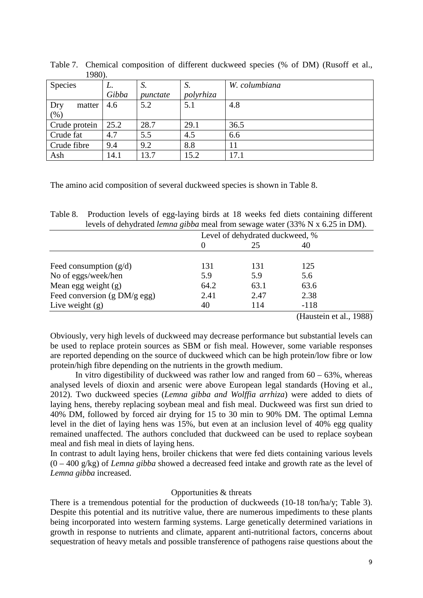| 1,00,1         |       |          |           |               |
|----------------|-------|----------|-----------|---------------|
| <b>Species</b> | L.    | S.       | D.        | W. columbiana |
|                | Gibba | punctate | polyrhiza |               |
| Dry<br>matter  | 4.6   | 5.2      | 5.1       | 4.8           |
| $(\% )$        |       |          |           |               |
| Crude protein  | 25.2  | 28.7     | 29.1      | 36.5          |
| Crude fat      | 4.7   | 5.5      | 4.5       | 6.6           |
| Crude fibre    | 9.4   | 9.2      | 8.8       | 11            |
| Ash            | 14.1  | 13.7     | 15.2      | 17.1          |

Table 7. Chemical composition of different duckweed species (% of DM) (Rusoff et al., 1980).

The amino acid composition of several duckweed species is shown in Table 8.

| Table 8. Production levels of egg-laying birds at 18 weeks fed diets containing different |
|-------------------------------------------------------------------------------------------|
| levels of dehydrated <i>lemna gibba</i> meal from sewage water (33% N x 6.25 in DM).      |

|                                | Level of dehydrated duckweed, % |      |        |  |  |
|--------------------------------|---------------------------------|------|--------|--|--|
|                                |                                 | 25   | 40     |  |  |
|                                |                                 |      |        |  |  |
| Feed consumption $(g/d)$       | 131                             | 131  | 125    |  |  |
| No of eggs/week/hen            | 5.9                             | 5.9  | 5.6    |  |  |
| Mean egg weight $(g)$          | 64.2                            | 63.1 | 63.6   |  |  |
| Feed conversion $(g DM/g egg)$ | 2.41                            | 2.47 | 2.38   |  |  |
| Live weight $(g)$              | 40                              | 114  | $-118$ |  |  |

(Haustein et al., 1988)

Obviously, very high levels of duckweed may decrease performance but substantial levels can be used to replace protein sources as SBM or fish meal. However, some variable responses are reported depending on the source of duckweed which can be high protein/low fibre or low protein/high fibre depending on the nutrients in the growth medium.

In vitro digestibility of duckweed was rather low and ranged from  $60 - 63\%$ , whereas analysed levels of dioxin and arsenic were above European legal standards (Hoving et al., 2012). Two duckweed species (*Lemna gibba and Wolffia arrhiza*) were added to diets of laying hens, thereby replacing soybean meal and fish meal. Duckweed was first sun dried to 40% DM, followed by forced air drying for 15 to 30 min to 90% DM. The optimal Lemna level in the diet of laying hens was 15%, but even at an inclusion level of 40% egg quality remained unaffected. The authors concluded that duckweed can be used to replace soybean meal and fish meal in diets of laying hens.

In contrast to adult laying hens, broiler chickens that were fed diets containing various levels (0 – 400 g/kg) of *Lemna gibba* showed a decreased feed intake and growth rate as the level of *Lemna gibba* increased.

#### Opportunities & threats

There is a tremendous potential for the production of duckweeds (10-18 ton/ha/y; Table 3). Despite this potential and its nutritive value, there are numerous impediments to these plants being incorporated into western farming systems. Large genetically determined variations in growth in response to nutrients and climate, apparent anti-nutritional factors, concerns about sequestration of heavy metals and possible transference of pathogens raise questions about the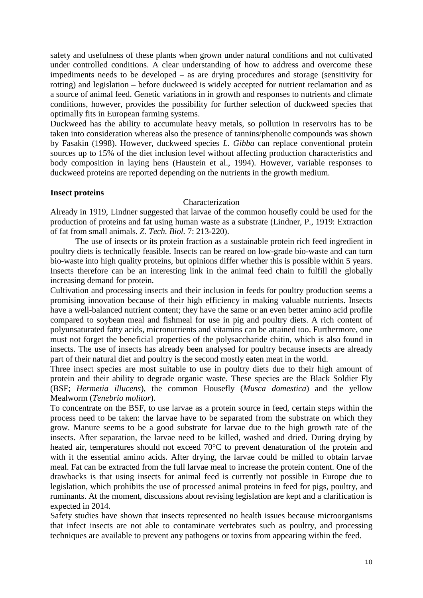safety and usefulness of these plants when grown under natural conditions and not cultivated under controlled conditions. A clear understanding of how to address and overcome these impediments needs to be developed – as are drying procedures and storage (sensitivity for rotting) and legislation – before duckweed is widely accepted for nutrient reclamation and as a source of animal feed. Genetic variations in in growth and responses to nutrients and climate conditions, however, provides the possibility for further selection of duckweed species that optimally fits in European farming systems.

Duckweed has the ability to accumulate heavy metals, so pollution in reservoirs has to be taken into consideration whereas also the presence of tannins/phenolic compounds was shown by Fasakin (1998). However, duckweed species *L. Gibba* can replace conventional protein sources up to 15% of the diet inclusion level without affecting production characteristics and body composition in laying hens (Haustein et al., 1994). However, variable responses to duckweed proteins are reported depending on the nutrients in the growth medium.

#### **Insect proteins**

## Characterization

Already in 1919, Lindner suggested that larvae of the common housefly could be used for the production of proteins and fat using human waste as a substrate (Lindner, P., 1919: Extraction of fat from small animals. *Z. Tech. Biol.* 7: 213-220).

The use of insects or its protein fraction as a sustainable protein rich feed ingredient in poultry diets is technically feasible. Insects can be reared on low-grade bio-waste and can turn bio-waste into high quality proteins, but opinions differ whether this is possible within 5 years. Insects therefore can be an interesting link in the animal feed chain to fulfill the globally increasing demand for protein.

Cultivation and processing insects and their inclusion in feeds for poultry production seems a promising innovation because of their high efficiency in making valuable nutrients. Insects have a well-balanced nutrient content; they have the same or an even better amino acid profile compared to soybean meal and fishmeal for use in pig and poultry diets. A rich content of polyunsaturated fatty acids, micronutrients and vitamins can be attained too. Furthermore, one must not forget the beneficial properties of the polysaccharide chitin, which is also found in insects. The use of insects has already been analysed for poultry because insects are already part of their natural diet and poultry is the second mostly eaten meat in the world.

Three insect species are most suitable to use in poultry diets due to their high amount of protein and their ability to degrade organic waste. These species are the Black Soldier Fly (BSF; *Hermetia illucens*), the common Housefly (*Musca domestica*) and the yellow Mealworm (*Tenebrio molitor*).

To concentrate on the BSF, to use larvae as a protein source in feed, certain steps within the process need to be taken: the larvae have to be separated from the substrate on which they grow. Manure seems to be a good substrate for larvae due to the high growth rate of the insects. After separation, the larvae need to be killed, washed and dried. During drying by heated air, temperatures should not exceed 70°C to prevent denaturation of the protein and with it the essential amino acids. After drying, the larvae could be milled to obtain larvae meal. Fat can be extracted from the full larvae meal to increase the protein content. One of the drawbacks is that using insects for animal feed is currently not possible in Europe due to legislation, which prohibits the use of processed animal proteins in feed for pigs, poultry, and ruminants. At the moment, discussions about revising legislation are kept and a clarification is expected in 2014.

Safety studies have shown that insects represented no health issues because microorganisms that infect insects are not able to contaminate vertebrates such as poultry, and processing techniques are available to prevent any pathogens or toxins from appearing within the feed.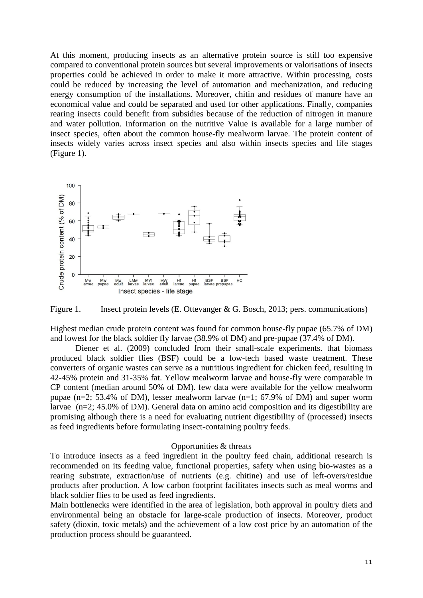At this moment, producing insects as an alternative protein source is still too expensive compared to conventional protein sources but several improvements or valorisations of insects properties could be achieved in order to make it more attractive. Within processing, costs could be reduced by increasing the level of automation and mechanization, and reducing energy consumption of the installations. Moreover, chitin and residues of manure have an economical value and could be separated and used for other applications. Finally, companies rearing insects could benefit from subsidies because of the reduction of nitrogen in manure and water pollution. Information on the nutritive Value is available for a large number of insect species, often about the common house-fly mealworm larvae. The protein content of insects widely varies across insect species and also within insects species and life stages (Figure 1).





Highest median crude protein content was found for common house-fly pupae (65.7% of DM) and lowest for the black soldier fly larvae (38.9% of DM) and pre-pupae (37.4% of DM).

Diener et al. (2009) concluded from their small-scale experiments. that biomass produced black soldier flies (BSF) could be a low-tech based waste treatment. These converters of organic wastes can serve as a nutritious ingredient for chicken feed, resulting in 42-45% protein and 31-35% fat. Yellow mealworm larvae and house-fly were comparable in CP content (median around 50% of DM). few data were available for the yellow mealworm pupae (n=2; 53.4% of DM), lesser mealworm larvae (n=1; 67.9% of DM) and super worm larvae (n=2; 45.0% of DM). General data on amino acid composition and its digestibility are promising although there is a need for evaluating nutrient digestibility of (processed) insects as feed ingredients before formulating insect-containing poultry feeds.

#### Opportunities & threats

To introduce insects as a feed ingredient in the poultry feed chain, additional research is recommended on its feeding value, functional properties, safety when using bio-wastes as a rearing substrate, extraction/use of nutrients (e.g. chitine) and use of left-overs/residue products after production. A low carbon footprint facilitates insects such as meal worms and black soldier flies to be used as feed ingredients.

Main bottlenecks were identified in the area of legislation, both approval in poultry diets and environmental being an obstacle for large-scale production of insects. Moreover, product safety (dioxin, toxic metals) and the achievement of a low cost price by an automation of the production process should be guaranteed.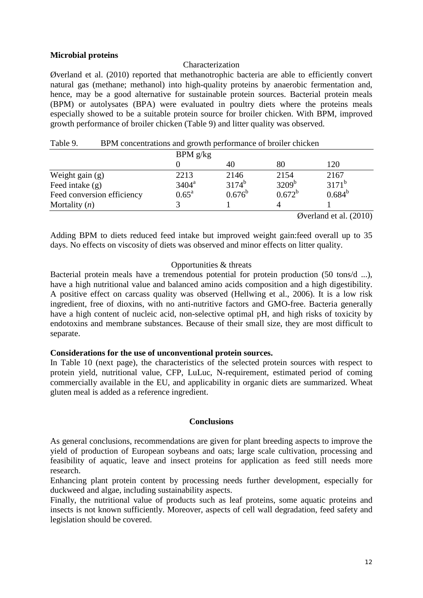## **Microbial proteins**

#### Characterization

Øverland et al. (2010) reported that methanotrophic bacteria are able to efficiently convert natural gas (methane; methanol) into high-quality proteins by anaerobic fermentation and, hence, may be a good alternative for sustainable protein sources. Bacterial protein meals (BPM) or autolysates (BPA) were evaluated in poultry diets where the proteins meals especially showed to be a suitable protein source for broiler chicken. With BPM, improved growth performance of broiler chicken (Table 9) and litter quality was observed.

| Table 9.          | BPM concentrations and growth performance of broiler chicken |                |            |                   |                                                                            |  |  |
|-------------------|--------------------------------------------------------------|----------------|------------|-------------------|----------------------------------------------------------------------------|--|--|
|                   |                                                              | BPM g/kg       |            |                   |                                                                            |  |  |
|                   |                                                              |                | 40         | 80                | 120                                                                        |  |  |
| Weight gain $(g)$ |                                                              | 2213           | 2146       | 2154              | 2167                                                                       |  |  |
| Feed intake $(g)$ |                                                              | $3404^a$       | $3174^{b}$ | 3209 <sup>b</sup> | $3171^b$                                                                   |  |  |
|                   | Feed conversion efficiency                                   | $0.65^{\rm a}$ | $0.676^b$  | $0.672^b$         | $0.684^{b}$                                                                |  |  |
| Mortality $(n)$   |                                                              |                |            | 4                 |                                                                            |  |  |
|                   |                                                              |                |            |                   | $\alpha$ <sub>rran</sub> l <sub>on</sub> d <sub>ata</sub> l $(\alpha$ 010) |  |  |

Øverland et al. (2010)

Adding BPM to diets reduced feed intake but improved weight gain:feed overall up to 35 days. No effects on viscosity of diets was observed and minor effects on litter quality.

#### Opportunities & threats

Bacterial protein meals have a tremendous potential for protein production (50 tons/d ...), have a high nutritional value and balanced amino acids composition and a high digestibility. A positive effect on carcass quality was observed (Hellwing et al., 2006). It is a low risk ingredient, free of dioxins, with no anti-nutritive factors and GMO-free. Bacteria generally have a high content of nucleic acid, non-selective optimal pH, and high risks of toxicity by endotoxins and membrane substances. Because of their small size, they are most difficult to separate.

#### **Considerations for the use of unconventional protein sources.**

In Table 10 (next page), the characteristics of the selected protein sources with respect to protein yield, nutritional value, CFP, LuLuc, N-requirement, estimated period of coming commercially available in the EU, and applicability in organic diets are summarized. Wheat gluten meal is added as a reference ingredient.

#### **Conclusions**

As general conclusions, recommendations are given for plant breeding aspects to improve the yield of production of European soybeans and oats; large scale cultivation, processing and feasibility of aquatic, leave and insect proteins for application as feed still needs more research.

Enhancing plant protein content by processing needs further development, especially for duckweed and algae, including sustainability aspects.

Finally, the nutritional value of products such as leaf proteins, some aquatic proteins and insects is not known sufficiently. Moreover, aspects of cell wall degradation, feed safety and legislation should be covered.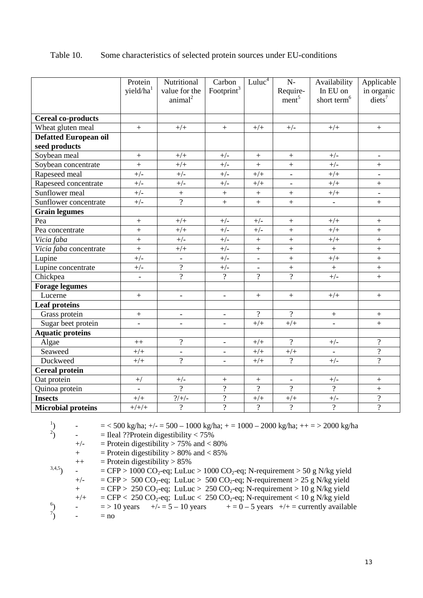|                              | Protein                  | Nutritional                        | Carbon                   | Luluc <sup>4</sup> | $N-$                         | Availability             | Applicable                       |
|------------------------------|--------------------------|------------------------------------|--------------------------|--------------------|------------------------------|--------------------------|----------------------------------|
|                              | yield/ha <sup>1</sup>    | value for the<br>$\text{animal}^2$ | Footprint <sup>3</sup>   |                    | Require-<br>$m$ <sup>5</sup> | In EU on                 | in organic<br>diets <sup>7</sup> |
|                              |                          |                                    |                          |                    |                              | short term <sup>6</sup>  |                                  |
| <b>Cereal co-products</b>    |                          |                                    |                          |                    |                              |                          |                                  |
| Wheat gluten meal            | $\boldsymbol{+}$         | $+/+$                              | $\boldsymbol{+}$         | $+/+$              | $+/-$                        | $+/+$                    | $\boldsymbol{+}$                 |
| <b>Defatted European oil</b> |                          |                                    |                          |                    |                              |                          |                                  |
| seed products                |                          |                                    |                          |                    |                              |                          |                                  |
| Soybean meal                 | $^{+}$                   | $+/+$                              | $+/-$                    | $\boldsymbol{+}$   |                              | $+/-$                    |                                  |
| Soybean concentrate          | $\ddot{}$                | $+/+$                              | $+/-$                    | $\ddot{}$          | $\qquad \qquad +$            | $+/-$                    | $\pm$                            |
| Rapeseed meal                | $+/-$                    | $+/-$                              | $+/-$                    | $+/+$              | $\Box$                       | $+/+$                    | $\overline{a}$                   |
| Rapeseed concentrate         | $+/-$                    | $+/-$                              | $+/-$                    | $+/+$              | $\overline{\phantom{a}}$     | $+/+$                    | $\qquad \qquad +$                |
| Sunflower meal               | $+/-$                    | $\pm$                              | $\ddot{}$                | $\boldsymbol{+}$   | $\ddot{}$                    | $+/+$                    | $\frac{1}{2}$                    |
| Sunflower concentrate        | $+/-$                    | $\overline{\mathcal{L}}$           | $\ddot{}$                | $+$                | $\ddot{}$                    | $\Box$                   | $\ddot{}$                        |
| <b>Grain legumes</b>         |                          |                                    |                          |                    |                              |                          |                                  |
| Pea                          | $\boldsymbol{+}$         | $+/+$                              | $+/-$                    | $+/-$              |                              | $+/+$                    | $\boldsymbol{+}$                 |
| Pea concentrate              | $\ddot{}$                | $+/+$                              | $+/-$                    | $+/-$              | $\ddot{}$                    | $+/+$                    | $\ddot{}$                        |
| Vicia faba                   | $+$                      | $+/-$                              | $+/-$                    | $\qquad \qquad +$  | $\ddot{}$                    | $+/+$                    | $\qquad \qquad +$                |
| Vicia faba concentrate       | $\ddot{}$                | $+/+$                              | $+/-$                    | $\boldsymbol{+}$   | $\qquad \qquad +$            | $\ddag$                  | $\ddag$                          |
| Lupine                       | $+/-$                    | $\Box$                             | $+/-$                    | $\blacksquare$     | $\ddot{}$                    | $+/+$                    | $\pm$                            |
| Lupine concentrate           | $+/-$                    | $\overline{?}$                     | $+/-$                    | $\equiv$           | $\ddot{}$                    | $\ddag$                  | $\ddot{}$                        |
| Chickpea                     | $\blacksquare$           | $\overline{?}$                     | $\overline{?}$           | $\overline{?}$     | $\overline{?}$               | $+/-$                    | $\qquad \qquad +$                |
| <b>Forage legumes</b>        |                          |                                    |                          |                    |                              |                          |                                  |
| Lucerne                      | $+$                      | $\overline{\phantom{a}}$           | $\overline{\phantom{0}}$ | $\boldsymbol{+}$   | $\ddot{}$                    | $+/+$                    | $\qquad \qquad +$                |
| <b>Leaf proteins</b>         |                          |                                    |                          |                    |                              |                          |                                  |
| Grass protein                | $\ddot{}$                | $\blacksquare$                     | $\equiv$                 | $\overline{?}$     | $\overline{?}$               | $+$                      | $\ddot{}$                        |
| Sugar beet protein           | $\overline{\phantom{a}}$ | $\overline{a}$                     | $\overline{a}$           | $+/+$              | $+/+$                        | $\equiv$                 | $\ddot{}$                        |
| <b>Aquatic proteins</b>      |                          |                                    |                          |                    |                              |                          |                                  |
| Algae                        | $++$                     | $\overline{?}$                     | $\overline{\phantom{a}}$ | $+/+$              | $\overline{?}$               | $+/-$                    | $\overline{?}$                   |
| Seaweed                      | $+/+$                    | $\overline{\phantom{a}}$           | $\overline{\phantom{0}}$ | $+/+$              | $+/+$                        | $\overline{\phantom{a}}$ | $\overline{?}$                   |
| Duckweed                     | $+/+$                    | $\overline{\mathcal{L}}$           | $\overline{\phantom{a}}$ | $+/+$              | $\overline{?}$               | $+/-$                    | $\overline{?}$                   |
| <b>Cereal protein</b>        |                          |                                    |                          |                    |                              |                          |                                  |
| Oat protein                  | $^{+\!/}$                | $+/-$                              | $\boldsymbol{+}$         | $\pm$              | $\overline{\phantom{a}}$     | $+/-$                    | $\boldsymbol{+}$                 |
| Quinoa protein               |                          | $\overline{?}$                     | $\overline{?}$           | $\overline{?}$     | $\overline{2}$               | $\overline{?}$           | $^{+}$                           |
| <b>Insects</b>               | $+/+$                    | $\gamma/+/-$                       | $\overline{\mathcal{L}}$ | $+/+$              | $+/+$                        | $+/-$                    | $\overline{?}$                   |
| <b>Microbial proteins</b>    | $+/+/+$                  | $\overline{?}$                     | $\overline{2}$           | $\overline{?}$     | $\overline{?}$               | $\overline{?}$           | $\overline{?}$                   |

## Table 10. Some characteristics of selected protein sources under EU-conditions

-  $=$  < 500 kg/ha; +/- = 500 – 1000 kg/ha; + = 1000 – 2000 kg/ha; ++ = > 2000 kg/ha

$$
= \text{Ideal ??} \text{Protein digestibility} < 75\%
$$

 $+/-$  = Protein digestibility > 75% and < 80%

 $+$  = Protein digestibility > 80% and < 85%

$$
++\qquad \qquad = \text{Protein digestibility} > 85\%
$$

1

2

$$
^{3,4,5}) \qquad - \qquad = \text{CFP} > 1000 \text{ CO}_2\text{-eq}; \text{Luluc} > 1000 \text{ CO}_2\text{-eq}; \text{N-requirement} > 50 \text{ g N/kg yield}
$$

$$
+/-
$$
 = CFP > 500 CO<sub>2</sub>-eq; LuLuc > 500 CO<sub>2</sub>-eq; N-requirement > 25 g N/kg yield

+ 
$$
=
$$
 CFP > 250 CO<sub>2</sub>-eq; LuLuc > 250 CO<sub>2</sub>-eq; N-requirement > 10 g N/kg yield

 $+/-$  = CFP < 250 CO<sub>2</sub>-eq; LuLuc < 250 CO<sub>2</sub>-eq; N-requirement < 10 g N/kg yield

$$
\begin{array}{ll}\n^{6}\\
\end{array}\n\text{ - } \quad = > 10 \text{ years } +/- = 5 - 10 \text{ years } + = 0 - 5 \text{ years } +/+ = \text{ currently available } \\
^{7)}\\
\text{ - } \quad = \text{no}
$$